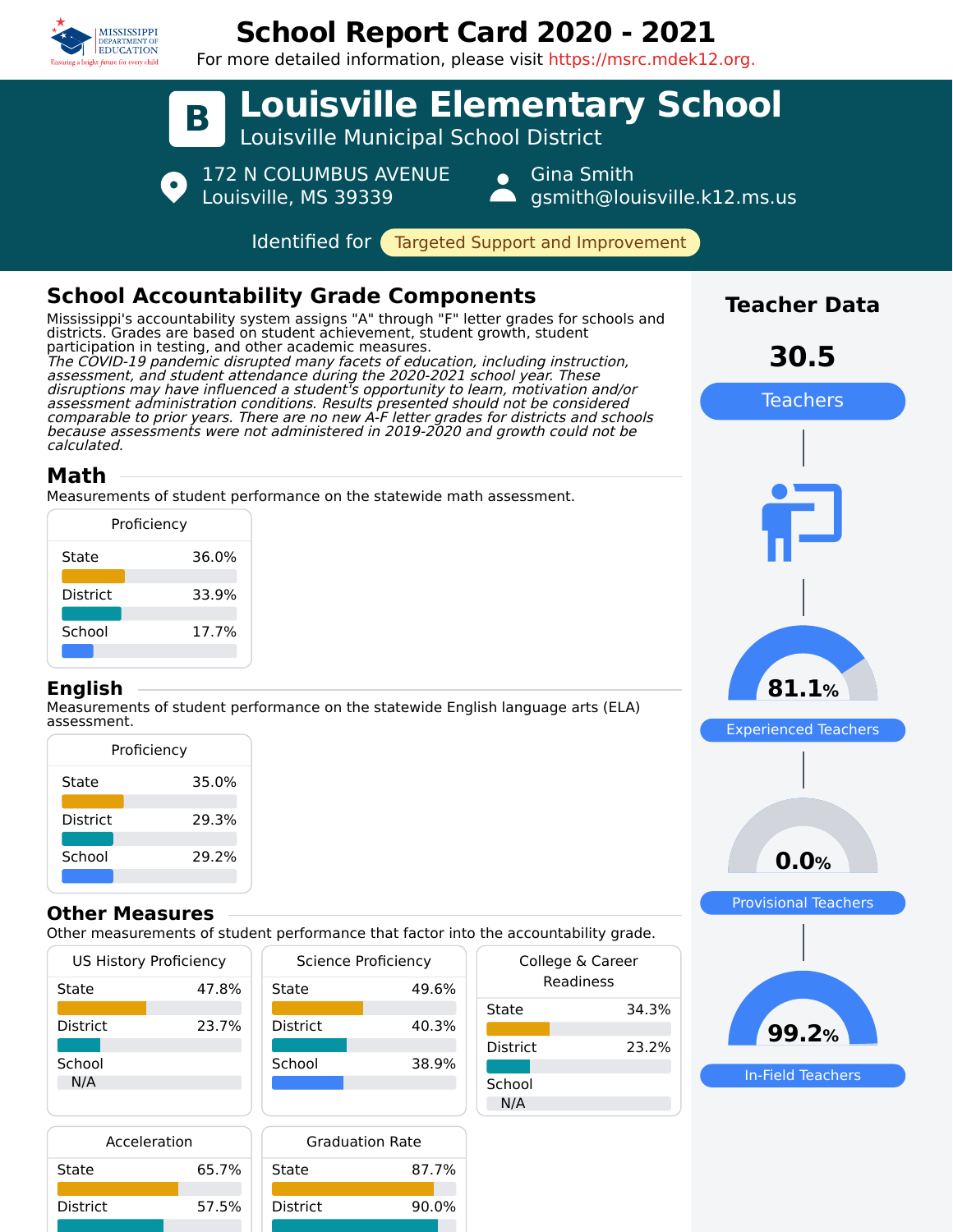

# **School Report Card 2020 - 2021**

For more detailed information, please visit https://msrc.mdek12.org.



Mississippi's accountability system assigns "A" through "F" letter grades for schools and districts. Grades are based on student achievement, student growth, student participation in testing, and other academic measures.

The COVID-19 pandemic disrupted many facets of education, including instruction, assessment, and student attendance during the 2020-2021 school year. These disruptions may have influenced a student's opportunity to learn, motivation and/or assessment administration conditions. Results presented should not be considered comparable to prior years. There are no new A-F letter grades for districts and schools because assessments were not administered in 2019-2020 and growth could not be calculated.

# **Math**

Measurements of student performance on the statewide math assessment.

| Proficiency     |       |  |  |  |  |
|-----------------|-------|--|--|--|--|
| State           | 36.0% |  |  |  |  |
| <b>District</b> | 33.9% |  |  |  |  |
| School          | 17.7% |  |  |  |  |
|                 |       |  |  |  |  |

### **English**

Measurements of student performance on the statewide English language arts (ELA) assessment.

| Proficiency |  |  |  |  |  |
|-------------|--|--|--|--|--|
| 35.0%       |  |  |  |  |  |
| 29.3%       |  |  |  |  |  |
| 29.2%       |  |  |  |  |  |
|             |  |  |  |  |  |

### **Other Measures**

Other measurements of student performance that factor into the accountability grade.

| <b>US History Proficiency</b> |       |                 | Science Proficiency | College & Career |       |  |
|-------------------------------|-------|-----------------|---------------------|------------------|-------|--|
| State                         | 47.8% | State           | 49.6%               | Readiness        |       |  |
|                               |       |                 |                     | State            | 34.3% |  |
| <b>District</b>               | 23.7% | <b>District</b> | 40.3%               |                  |       |  |
|                               |       |                 |                     | <b>District</b>  | 23.2% |  |
| School                        |       | School          | 38.9%               |                  |       |  |
| N/A                           |       |                 |                     | School           |       |  |
|                               |       |                 |                     | N/A              |       |  |

| Acceleration    |       | <b>Graduation Rate</b> |       |  |  |
|-----------------|-------|------------------------|-------|--|--|
| State           | 65.7% | State                  | 87.7% |  |  |
| <b>District</b> | 57.5% | <b>District</b>        | 90.0% |  |  |



In-Field Teachers